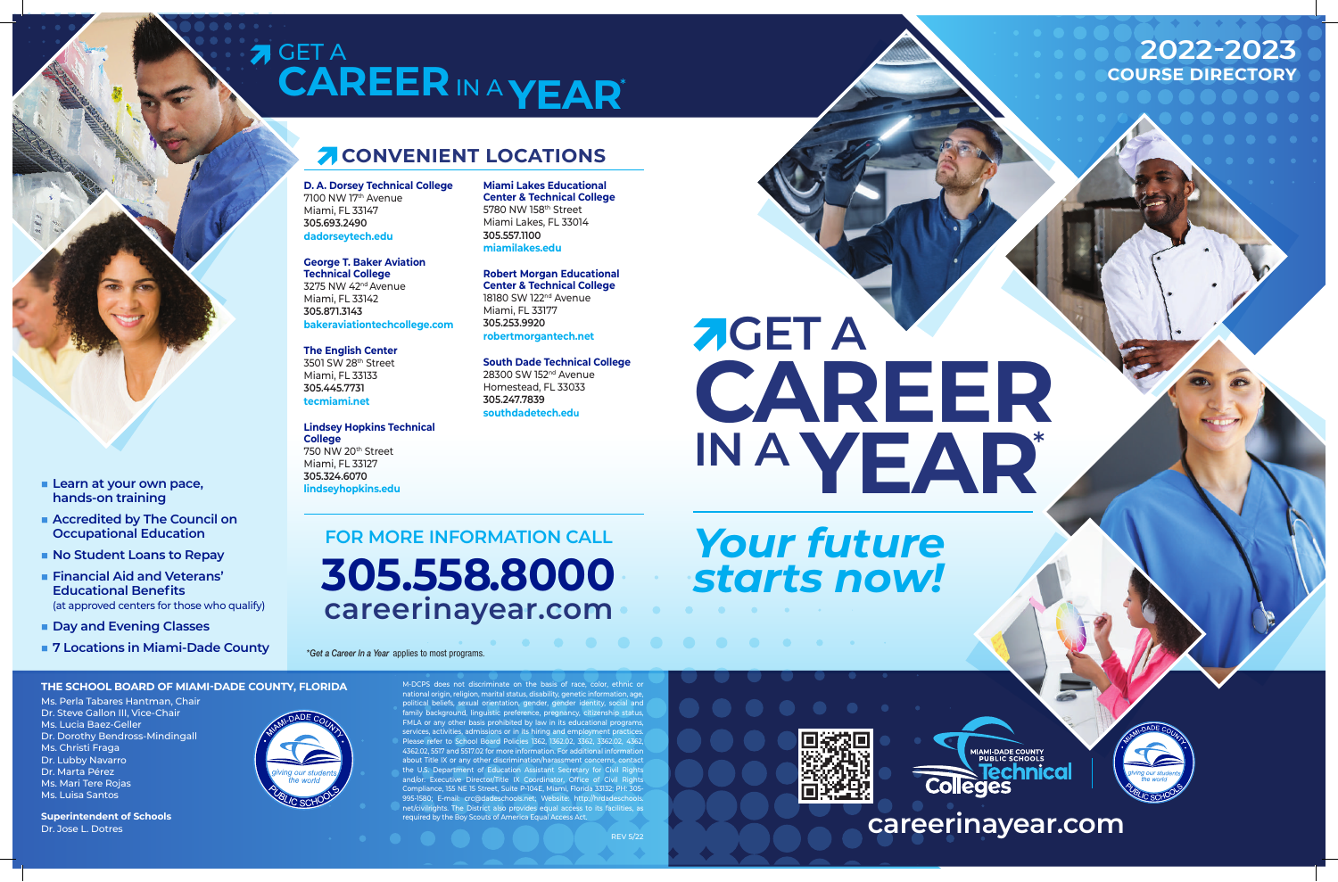**AGET A CAREER IN A YEAR**\*

## GET A **CAREER**IN A **YEAR**\*

## **Z CONVENIENT LOCATIONS**

## *Your future starts now!*

bes not discriminate on the basis of race, color, ethnic or n. religion, marital status, disability, genetic information, age ual orientation, gender, gender identity, social and family background, linguistic preference, pregnancy, citizenship status, other basis prohibited by law in its educational programs services, activities, admissions or in its hiring and employment practices. to School Board Policies 1362, 1362.02, 3362, 3362.02, 4362 7 and 5517.02 for more information. For additional in about Title IX or any other discrimination/harassment concerns, contact the U.S. Department of Education Assistant Secretary for Civil Rights Director/Title IX Coordinator, Office Compliance, 155 NE 15 Street, Suite P-104E, Miami, Florida 33132; PH: 305- 80; E-mail: crc@dadeschools.net; Website: http://hrdade net/civilrights. The District also provides equal access to its facilities, as required by the Boy Scouts of America Equal Access Act.



■ Learn at your own pace, **hands-on training**

■ **Accredited by The Council on Occupational Education**

**No Student Loans to Repay Financial Aid and Veterans' Educational Benefits**

**n** Day and Evening Classes

**D. A. Dorsey Technical College** 7100 NW 17th Avenue Miami, FL 33147 **305.693.2490 dadorseytech.edu**



**George T. Baker Aviation Technical College** 3275 NW 42nd Avenue Miami, FL 33142 **305.871.3143 bakeraviationtechcollege.com**



**The English Center** 3501 SW 28th Street Miami, FL 33133 **305.445.7731 tecmiami.net**

**Lindsey Hopkins Technical College** 750 NW 20th Street Miami, FL 33127 **305.324.6070 lindseyhopkins.edu**

**Miami Lakes Educational Center & Technical College** 5780 NW 158th Street Miami Lakes, FL 33014 **305.557.1100 miamilakes.edu**

**Robert Morgan Educational Center & Technical College** 18180 SW 122<sup>nd</sup> Avenue Miami, FL 33177 **305.253.9920 robertmorgantech.net**

**South Dade Technical College** 28300 SW 152nd Avenue Homestead, FL 33033 **305.247.7839**

**southdadetech.edu**

(at approved centers for those who qualify)

## **THE SCHOOL BOARD OF MIAMI-DADE COUNTY, FLORIDA**

Ms. Perla Tabares Hantman, Chair Dr. Steve Gallon III, Vice-Chair Ms. Lucia Baez-Geller Dr. Dorothy Bendross-Mindingall Ms. Christi Fraga Dr. Lubby Navarro Dr. Marta Pérez Ms. Mari Tere Rojas Ms. Luisa Santos

**Superintendent of Schools** Dr. Jose L. Dotres



**FOR MORE INFORMATION CALL 305.558.8000 careerinayear.com**

**n 7 Locations in Miami-Dade County**  $\bullet$  *\*Get a Career In a Year* applies to most programs.